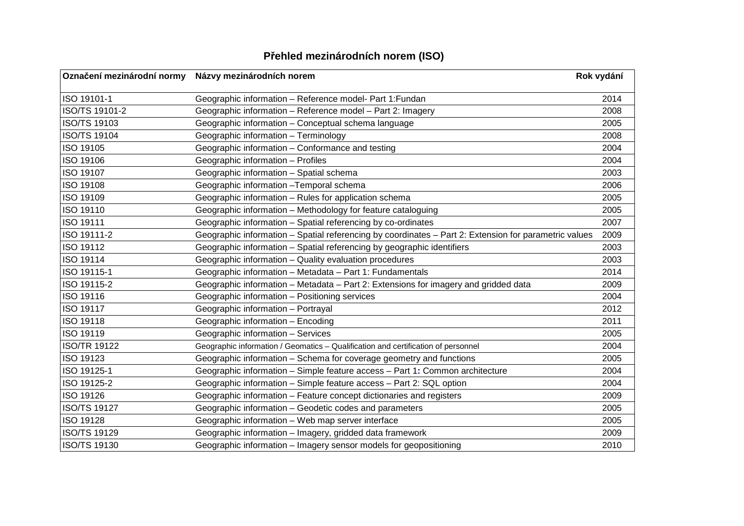| Přehled mezinárodních norem (ISO) |  |  |
|-----------------------------------|--|--|
|                                   |  |  |

| Označení mezinárodní normy | Názvy mezinárodních norem                                                                             | Rok vydání |
|----------------------------|-------------------------------------------------------------------------------------------------------|------------|
| ISO 19101-1                | Geographic information - Reference model- Part 1: Fundan                                              | 2014       |
| ISO/TS 19101-2             | Geographic information - Reference model - Part 2: Imagery                                            | 2008       |
| <b>ISO/TS 19103</b>        | Geographic information - Conceptual schema language                                                   | 2005       |
| <b>ISO/TS 19104</b>        | Geographic information - Terminology                                                                  | 2008       |
| ISO 19105                  | Geographic information - Conformance and testing                                                      | 2004       |
| ISO 19106                  | Geographic information - Profiles                                                                     | 2004       |
| ISO 19107                  | Geographic information - Spatial schema                                                               | 2003       |
| ISO 19108                  | Geographic information -Temporal schema                                                               | 2006       |
| ISO 19109                  | Geographic information - Rules for application schema                                                 | 2005       |
| ISO 19110                  | Geographic information - Methodology for feature cataloguing                                          | 2005       |
| <b>ISO 19111</b>           | Geographic information - Spatial referencing by co-ordinates                                          | 2007       |
| ISO 19111-2                | Geographic information - Spatial referencing by coordinates - Part 2: Extension for parametric values | 2009       |
| ISO 19112                  | Geographic information - Spatial referencing by geographic identifiers                                | 2003       |
| ISO 19114                  | Geographic information - Quality evaluation procedures                                                | 2003       |
| ISO 19115-1                | Geographic information - Metadata - Part 1: Fundamentals                                              | 2014       |
| ISO 19115-2                | Geographic information - Metadata - Part 2: Extensions for imagery and gridded data                   | 2009       |
| ISO 19116                  | Geographic information - Positioning services                                                         | 2004       |
| ISO 19117                  | Geographic information - Portrayal                                                                    | 2012       |
| ISO 19118                  | Geographic information - Encoding                                                                     | 2011       |
| ISO 19119                  | Geographic information - Services                                                                     | 2005       |
| <b>ISO/TR 19122</b>        | Geographic information / Geomatics - Qualification and certification of personnel                     | 2004       |
| ISO 19123                  | Geographic information - Schema for coverage geometry and functions                                   | 2005       |
| ISO 19125-1                | Geographic information - Simple feature access - Part 1: Common architecture                          | 2004       |
| ISO 19125-2                | Geographic information - Simple feature access - Part 2: SQL option                                   | 2004       |
| ISO 19126                  | Geographic information - Feature concept dictionaries and registers                                   | 2009       |
| <b>ISO/TS 19127</b>        | Geographic information - Geodetic codes and parameters                                                | 2005       |
| <b>ISO 19128</b>           | Geographic information - Web map server interface                                                     | 2005       |
| <b>ISO/TS 19129</b>        | Geographic information - Imagery, gridded data framework                                              | 2009       |
| <b>ISO/TS 19130</b>        | Geographic information - Imagery sensor models for geopositioning                                     | 2010       |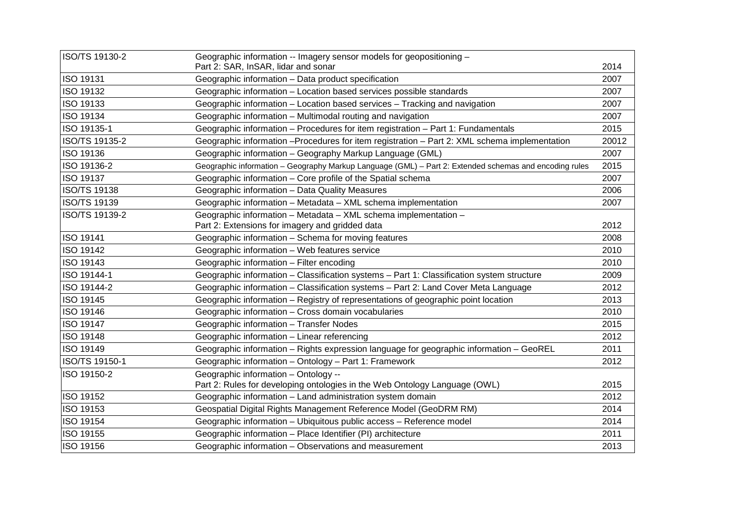| ISO/TS 19130-2      | Geographic information -- Imagery sensor models for geopositioning -                                   |       |
|---------------------|--------------------------------------------------------------------------------------------------------|-------|
|                     | Part 2: SAR, InSAR, lidar and sonar                                                                    | 2014  |
| <b>ISO 19131</b>    | Geographic information - Data product specification                                                    | 2007  |
| ISO 19132           | Geographic information - Location based services possible standards                                    | 2007  |
| ISO 19133           | Geographic information - Location based services - Tracking and navigation                             | 2007  |
| ISO 19134           | Geographic information – Multimodal routing and navigation                                             | 2007  |
| ISO 19135-1         | Geographic information - Procedures for item registration - Part 1: Fundamentals                       | 2015  |
| ISO/TS 19135-2      | Geographic information --Procedures for item registration -- Part 2: XML schema implementation         | 20012 |
| ISO 19136           | Geographic information - Geography Markup Language (GML)                                               | 2007  |
| ISO 19136-2         | Geographic information - Geography Markup Language (GML) - Part 2: Extended schemas and encoding rules | 2015  |
| <b>ISO 19137</b>    | Geographic information - Core profile of the Spatial schema                                            | 2007  |
| <b>ISO/TS 19138</b> | Geographic information - Data Quality Measures                                                         | 2006  |
| <b>ISO/TS 19139</b> | Geographic information - Metadata - XML schema implementation                                          | 2007  |
| ISO/TS 19139-2      | Geographic information - Metadata - XML schema implementation -                                        |       |
|                     | Part 2: Extensions for imagery and gridded data                                                        | 2012  |
| <b>ISO 19141</b>    | Geographic information - Schema for moving features                                                    | 2008  |
| <b>ISO 19142</b>    | Geographic information - Web features service                                                          | 2010  |
| ISO 19143           | Geographic information - Filter encoding                                                               | 2010  |
| ISO 19144-1         | Geographic information - Classification systems - Part 1: Classification system structure              | 2009  |
| ISO 19144-2         | Geographic information - Classification systems - Part 2: Land Cover Meta Language                     | 2012  |
| ISO 19145           | Geographic information - Registry of representations of geographic point location                      | 2013  |
| ISO 19146           | Geographic information - Cross domain vocabularies                                                     | 2010  |
| <b>ISO 19147</b>    | Geographic information - Transfer Nodes                                                                | 2015  |
| <b>ISO 19148</b>    | Geographic information - Linear referencing                                                            | 2012  |
| ISO 19149           | Geographic information - Rights expression language for geographic information - GeoREL                | 2011  |
| ISO/TS 19150-1      | Geographic information - Ontology - Part 1: Framework                                                  | 2012  |
| ISO 19150-2         | Geographic information - Ontology --                                                                   |       |
|                     | Part 2: Rules for developing ontologies in the Web Ontology Language (OWL)                             | 2015  |
| ISO 19152           | Geographic information - Land administration system domain                                             | 2012  |
| ISO 19153           | Geospatial Digital Rights Management Reference Model (GeoDRM RM)                                       | 2014  |
| ISO 19154           | Geographic information - Ubiquitous public access - Reference model                                    | 2014  |
| ISO 19155           | Geographic information - Place Identifier (PI) architecture                                            | 2011  |
| ISO 19156           | Geographic information - Observations and measurement                                                  | 2013  |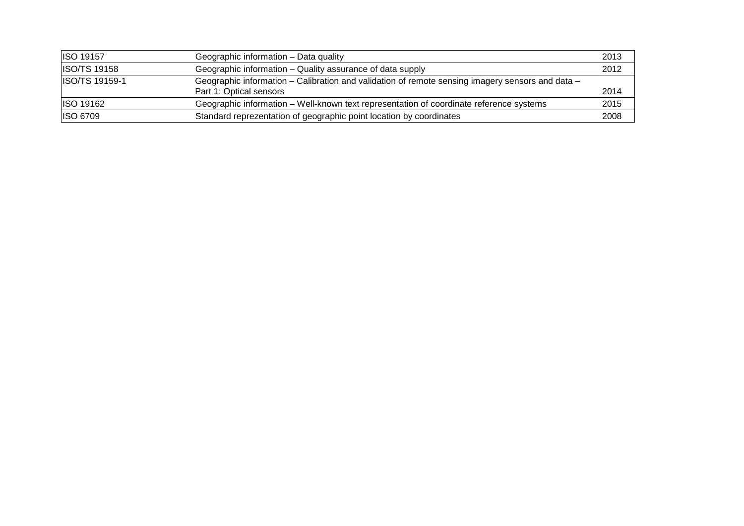| ISO 19157      | Geographic information - Data quality                                                            | 2013 |
|----------------|--------------------------------------------------------------------------------------------------|------|
| ISO/TS 19158   | Geographic information – Quality assurance of data supply                                        | 2012 |
| ISO/TS 19159-1 | Geographic information – Calibration and validation of remote sensing imagery sensors and data – |      |
|                | Part 1: Optical sensors                                                                          | 2014 |
| ISO 19162      | Geographic information - Well-known text representation of coordinate reference systems          | 2015 |
| ISO 6709       | Standard reprezentation of geographic point location by coordinates                              | 2008 |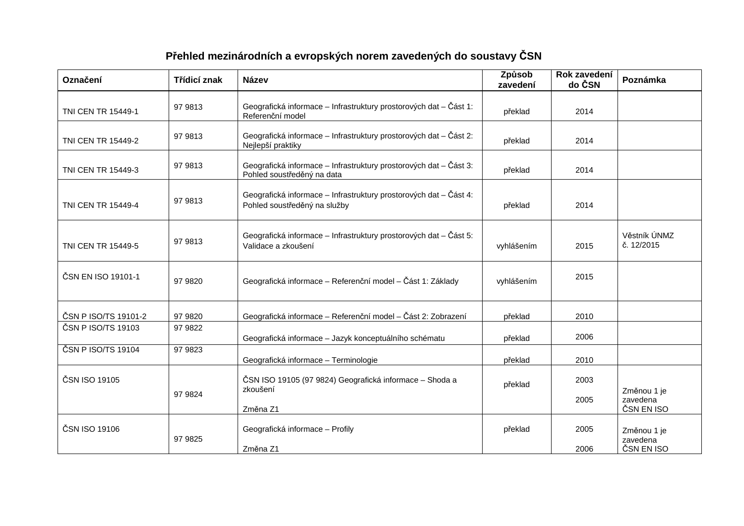| Označení             | Třídicí znak | <b>Název</b>                                                                                      | Způsob<br>zavedení | Rok zavedení<br>do ČSN | Poznámka                              |
|----------------------|--------------|---------------------------------------------------------------------------------------------------|--------------------|------------------------|---------------------------------------|
| TNI CEN TR 15449-1   | 97 9813      | Geografická informace - Infrastruktury prostorových dat - Část 1:<br>Referenční model             | překlad            | 2014                   |                                       |
| TNI CEN TR 15449-2   | 97 9813      | Geografická informace – Infrastruktury prostorových dat – Část 2:<br>Nejlepší praktiky            | překlad            | 2014                   |                                       |
| TNI CEN TR 15449-3   | 97 9813      | Geografická informace - Infrastruktury prostorových dat - Část 3:<br>Pohled soustředěný na data   | překlad            | 2014                   |                                       |
| TNI CEN TR 15449-4   | 97 9813      | Geografická informace – Infrastruktury prostorových dat – Část 4:<br>Pohled soustředěný na služby | překlad            | 2014                   |                                       |
| TNI CEN TR 15449-5   | 97 9813      | Geografická informace – Infrastruktury prostorových dat – Část 5:<br>Validace a zkoušení          | vyhlášením         | 2015                   | Věstník ÚNMZ<br>č. 12/2015            |
| ČSN EN ISO 19101-1   | 97 9820      | Geografická informace – Referenční model – Část 1: Základy                                        | vyhlášením         | 2015                   |                                       |
| ČSN P ISO/TS 19101-2 | 97 9820      | Geografická informace - Referenční model - Část 2: Zobrazení                                      | překlad            | 2010                   |                                       |
| ČSN P ISO/TS 19103   | 97 9822      | Geografická informace - Jazyk konceptuálního schématu                                             | překlad            | 2006                   |                                       |
| ČSN P ISO/TS 19104   | 97 9823      | Geografická informace - Terminologie                                                              | překlad            | 2010                   |                                       |
| ČSN ISO 19105        | 97 9824      | ČSN ISO 19105 (97 9824) Geografická informace – Shoda a<br>zkoušení                               | překlad            | 2003<br>2005           | Změnou 1 je<br>zavedena               |
|                      |              | Změna Z1                                                                                          |                    |                        | ČSN EN ISO                            |
| ČSN ISO 19106        | 97 9825      | Geografická informace - Profily<br>Změna Z1                                                       | překlad            | 2005<br>2006           | Změnou 1 je<br>zavedena<br>ČSN EN ISO |

## **Přehled mezinárodních a evropských norem zavedených do soustavy ČSN**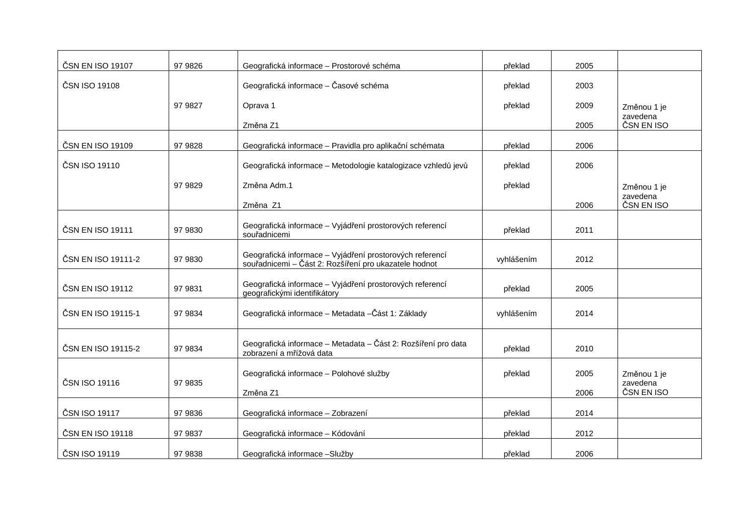| ČSN EN ISO 19107   | 97 9826 | Geografická informace - Prostorové schéma                                                                         | překlad    | 2005 |                        |
|--------------------|---------|-------------------------------------------------------------------------------------------------------------------|------------|------|------------------------|
| ČSN ISO 19108      |         | Geografická informace – Časové schéma                                                                             | překlad    | 2003 |                        |
|                    | 97 9827 | Oprava 1                                                                                                          | překlad    | 2009 | Změnou 1 je            |
|                    |         | Změna Z1                                                                                                          |            | 2005 | zavedena<br>ČSN EN ISO |
| ČSN EN ISO 19109   | 97 9828 | Geografická informace – Pravidla pro aplikační schémata                                                           | překlad    | 2006 |                        |
| ČSN ISO 19110      |         | Geografická informace - Metodologie katalogizace vzhledů jevů                                                     | překlad    | 2006 |                        |
|                    | 97 9829 | Změna Adm.1                                                                                                       | překlad    |      | Změnou 1 je            |
|                    |         | Změna Z1                                                                                                          |            | 2006 | zavedena<br>ČSN EN ISO |
| ČSN EN ISO 19111   | 97 9830 | Geografická informace – Vyjádření prostorových referencí<br>souřadnicemi                                          | překlad    | 2011 |                        |
| ČSN EN ISO 19111-2 | 97 9830 | Geografická informace – Vyjádření prostorových referencí<br>souřadnicemi - Část 2: Rozšíření pro ukazatele hodnot | vyhlášením | 2012 |                        |
| ČSN EN ISO 19112   | 97 9831 | Geografická informace – Vyjádření prostorových referencí<br>geografickými identifikátory                          | překlad    | 2005 |                        |
| ČSN EN ISO 19115-1 | 97 9834 | Geografická informace - Metadata -Část 1: Základy                                                                 | vyhlášením | 2014 |                        |
| ČSN EN ISO 19115-2 | 97 9834 | Geografická informace - Metadata - Část 2: Rozšíření pro data<br>zobrazení a mřížová data                         | překlad    | 2010 |                        |
|                    |         | Geografická informace - Polohové služby                                                                           | překlad    | 2005 | Změnou 1 je            |
| ČSN ISO 19116      | 97 9835 | Změna Z1                                                                                                          |            | 2006 | zavedena<br>ČSN EN ISO |
| ČSN ISO 19117      | 97 9836 | Geografická informace - Zobrazení                                                                                 | překlad    | 2014 |                        |
| ČSN EN ISO 19118   | 97 9837 | Geografická informace - Kódování                                                                                  | překlad    | 2012 |                        |
| ČSN ISO 19119      | 97 9838 | Geografická informace - Služby                                                                                    | překlad    | 2006 |                        |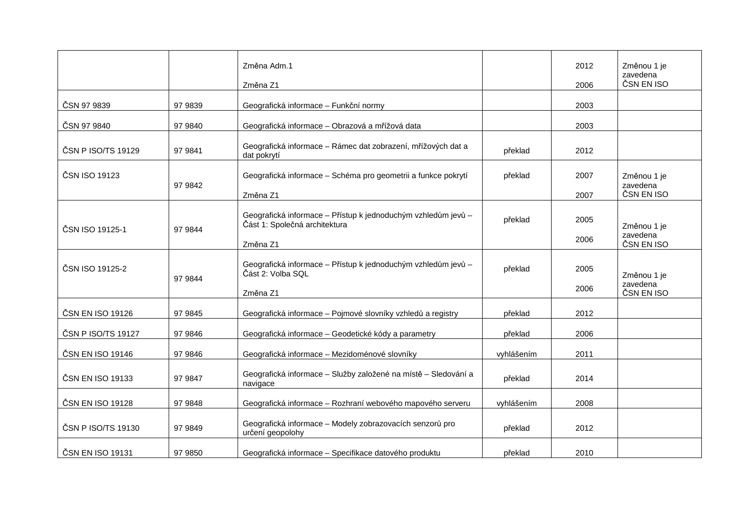|                    |         | Změna Adm.1<br>Změna Z1                                                                                    |            | 2012<br>2006 | Změnou 1 je<br>zavedena<br>ČSN EN ISO |
|--------------------|---------|------------------------------------------------------------------------------------------------------------|------------|--------------|---------------------------------------|
| ČSN 97 9839        | 97 9839 | Geografická informace - Funkční normy                                                                      |            | 2003         |                                       |
| ČSN 97 9840        | 97 9840 | Geografická informace - Obrazová a mřížová data                                                            |            | 2003         |                                       |
| ČSN P ISO/TS 19129 | 97 9841 | Geografická informace - Rámec dat zobrazení, mřížových dat a<br>dat pokrytí                                | překlad    | 2012         |                                       |
| ČSN ISO 19123      | 97 9842 | Geografická informace - Schéma pro geometrii a funkce pokrytí<br>Změna Z1                                  | překlad    | 2007<br>2007 | Změnou 1 je<br>zavedena<br>ČSN EN ISO |
| ČSN ISO 19125-1    | 97 9844 | Geografická informace – Přístup k jednoduchým vzhledům jevů –<br>Část 1: Společná architektura<br>Změna Z1 | překlad    | 2005<br>2006 | Změnou 1 je<br>zavedena<br>ČSN EN ISO |
| ČSN ISO 19125-2    | 97 9844 | Geografická informace – Přístup k jednoduchým vzhledům jevů –<br>Část 2: Volba SQL<br>Změna Z1             | překlad    | 2005<br>2006 | Změnou 1 je<br>zavedena<br>ČSN EN ISO |
| ČSN EN ISO 19126   | 97 9845 | Geografická informace - Pojmové slovníky vzhledů a registry                                                | překlad    | 2012         |                                       |
| ČSN P ISO/TS 19127 | 97 9846 | Geografická informace – Geodetické kódy a parametry                                                        | překlad    | 2006         |                                       |
| ČSN EN ISO 19146   | 97 9846 | Geografická informace – Mezidoménové slovníky                                                              | vyhlášením | 2011         |                                       |
| ČSN EN ISO 19133   | 97 9847 | Geografická informace - Služby založené na místě - Sledování a<br>navigace                                 | překlad    | 2014         |                                       |
| ČSN EN ISO 19128   | 97 9848 | Geografická informace - Rozhraní webového mapového serveru                                                 | vyhlášením | 2008         |                                       |
| ČSN P ISO/TS 19130 | 97 9849 | Geografická informace - Modely zobrazovacích senzorů pro<br>určení geopolohy                               | překlad    | 2012         |                                       |
| ČSN EN ISO 19131   | 97 9850 | Geografická informace - Specifikace datového produktu                                                      | překlad    | 2010         |                                       |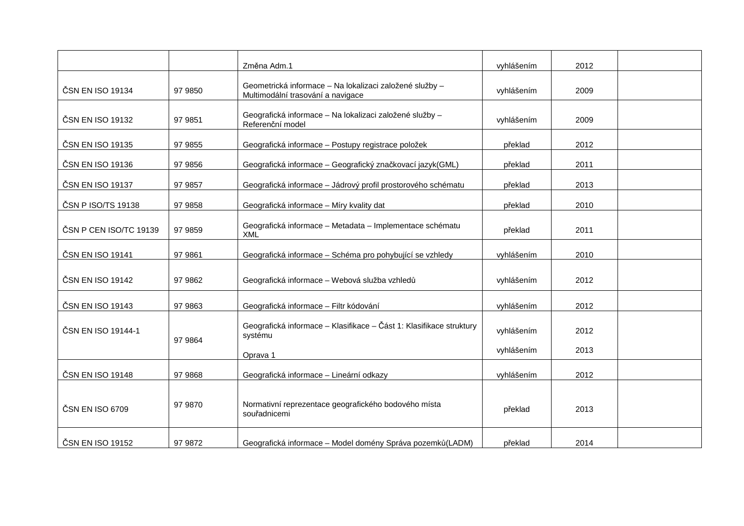|                        |         | Změna Adm.1                                                                                  | vyhlášením | 2012 |  |
|------------------------|---------|----------------------------------------------------------------------------------------------|------------|------|--|
| ČSN EN ISO 19134       | 97 9850 | Geometrická informace - Na lokalizaci založené služby -<br>Multimodální trasování a navigace | vyhlášením | 2009 |  |
| ČSN EN ISO 19132       | 97 9851 | Geografická informace - Na lokalizaci založené služby -<br>Referenční model                  | vyhlášením | 2009 |  |
| ČSN EN ISO 19135       | 97 9855 | Geografická informace - Postupy registrace položek                                           | překlad    | 2012 |  |
| ČSN EN ISO 19136       | 97 9856 | Geografická informace – Geografický značkovací jazyk(GML)                                    | překlad    | 2011 |  |
| ČSN EN ISO 19137       | 97 9857 | Geografická informace - Jádrový profil prostorového schématu                                 | překlad    | 2013 |  |
| ČSN P ISO/TS 19138     | 97 9858 | Geografická informace - Míry kvality dat                                                     | překlad    | 2010 |  |
| ČSN P CEN ISO/TC 19139 | 97 9859 | Geografická informace - Metadata - Implementace schématu<br><b>XML</b>                       | překlad    | 2011 |  |
| ČSN EN ISO 19141       | 97 9861 | Geografická informace - Schéma pro pohybující se vzhledy                                     | vyhlášením | 2010 |  |
| ČSN EN ISO 19142       | 97 9862 | Geografická informace – Webová služba vzhledů                                                | vyhlášením | 2012 |  |
| ČSN EN ISO 19143       | 97 9863 | Geografická informace - Filtr kódování                                                       | vyhlášením | 2012 |  |
| ČSN EN ISO 19144-1     | 97 9864 | Geografická informace - Klasifikace - Část 1: Klasifikace struktury<br>systému               | vyhlášením | 2012 |  |
|                        |         | Oprava 1                                                                                     | vyhlášením | 2013 |  |
| ČSN EN ISO 19148       | 97 9868 | Geografická informace - Lineární odkazy                                                      | vyhlášením | 2012 |  |
| ČSN EN ISO 6709        | 97 9870 | Normativní reprezentace geografického bodového místa<br>souřadnicemi                         | překlad    | 2013 |  |
| ČSN EN ISO 19152       | 97 9872 | Geografická informace - Model domény Správa pozemků (LADM)                                   | překlad    | 2014 |  |